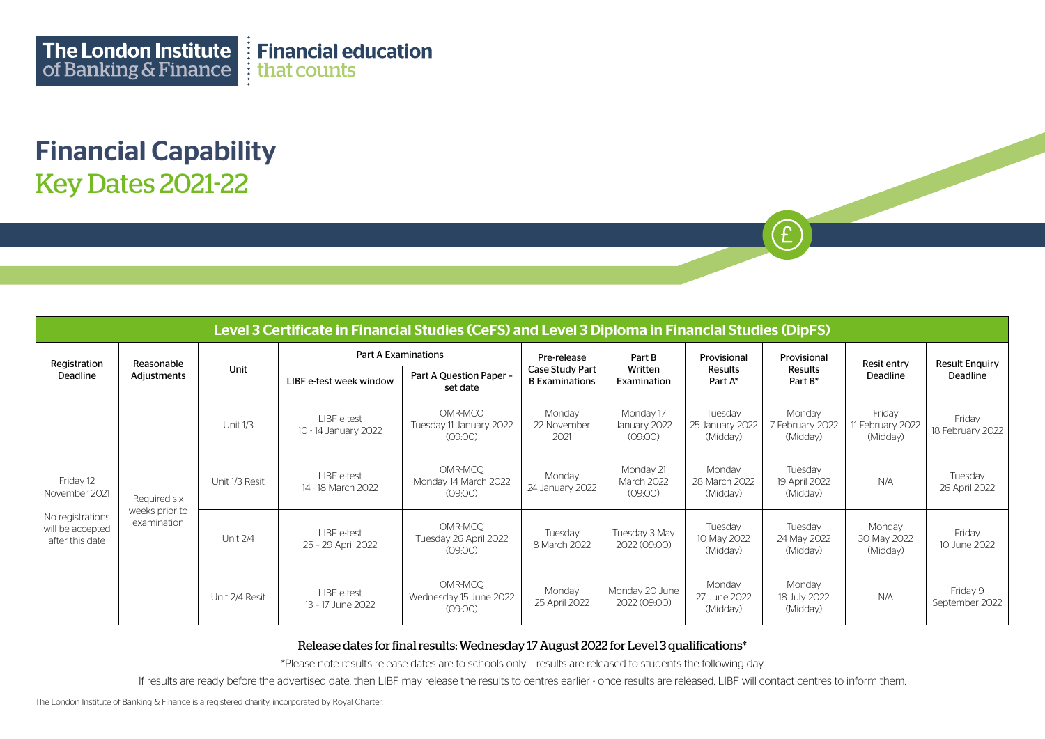Financial Capability Key Dates 2021-22

| Level 3 Certificate in Financial Studies (CeFS) and Level 3 Diploma in Financial Studies (DipFS) |                                               |                |                                     |                                               |                                          |                                      |                                        |                                       |                                        |                            |
|--------------------------------------------------------------------------------------------------|-----------------------------------------------|----------------|-------------------------------------|-----------------------------------------------|------------------------------------------|--------------------------------------|----------------------------------------|---------------------------------------|----------------------------------------|----------------------------|
| Registration<br>Deadline                                                                         | Reasonable<br>Adjustments                     | Unit           | <b>Part A Examinations</b>          |                                               | Pre-release                              | Part B                               | Provisional                            | Provisional                           | Resit entry                            | <b>Result Enquiry</b>      |
|                                                                                                  |                                               |                | LIBF e-test week window             | Part A Question Paper -<br>set date           | Case Study Part<br><b>B</b> Examinations | Written<br>Examination               | <b>Results</b><br>Part A*              | Results<br>Part B*                    | Deadline                               | Deadline                   |
| Friday 12<br>November 2021<br>No registrations<br>will be accepted<br>after this date            | Required six<br>weeks prior to<br>examination | Unit 1/3       | LIBF e-test<br>10 - 14 January 2022 | OMR-MCQ<br>Tuesday 11 January 2022<br>(09:00) | Monday<br>22 November<br>2021            | Monday 17<br>January 2022<br>(09:00) | Tuesday<br>25 January 2022<br>(Midday) | Monday<br>7 February 2022<br>(Midday) | Friday<br>11 February 2022<br>(Midday) | Friday<br>18 February 2022 |
|                                                                                                  |                                               | Unit 1/3 Resit | LIBF e-test<br>14 - 18 March 2022   | OMR-MCQ<br>Monday 14 March 2022<br>(09:00)    | Monday<br>24 January 2022                | Monday 21<br>March 2022<br>(09:00)   | Monday<br>28 March 2022<br>(Midday)    | Tuesday<br>19 April 2022<br>(Midday)  | N/A                                    | Tuesday<br>26 April 2022   |
|                                                                                                  |                                               | Unit 2/4       | LIBF e-test<br>25 - 29 April 2022   | OMR-MCQ<br>Tuesday 26 April 2022<br>(09:00)   | Tuesday<br>8 March 2022                  | Tuesday 3 May<br>2022 (09:00)        | Tuesday<br>10 May 2022<br>(Midday)     | Tuesday<br>24 May 2022<br>(Midday)    | Monday<br>30 May 2022<br>(Midday)      | Friday<br>10 June 2022     |
|                                                                                                  |                                               | Unit 2/4 Resit | LIBF e-test<br>13 - 17 June 2022    | OMR-MCO<br>Wednesday 15 June 2022<br>(09:00)  | Monday<br>25 April 2022                  | Monday 20 June<br>2022 (09:00)       | Monday<br>27 June 2022<br>(Midday)     | Monday<br>18 July 2022<br>(Midday)    | N/A                                    | Friday 9<br>September 2022 |

 $\mathbf{f}$ 

## Release dates for final results: Wednesday 17 August 2022 for Level 3 qualifications\*

\*Please note results release dates are to schools only – results are released to students the following day

If results are ready before the advertised date, then LIBF may release the results to centres earlier - once results are released, LIBF will contact centres to inform them.